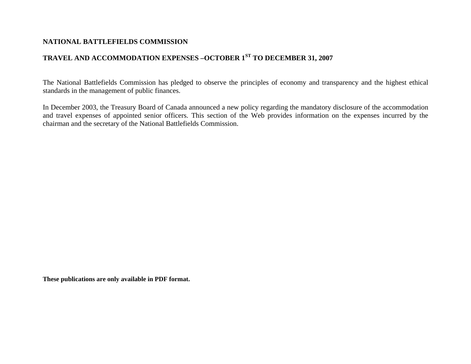## **NATIONAL BATTLEFIELDS COMMISSION**

# **TRAVEL AND ACCOMMODATION EXPENSES –OCTOBER 1ST TO DECEMBER 31, 2007**

The National Battlefields Commission has pledged to observe the principles of economy and transparency and the highest ethical standards in the management of public finances.

In December 2003, the Treasury Board of Canada announced a new policy regarding the mandatory disclosure of the accommodation and travel expenses of appointed senior officers. This section of the Web provides information on the expenses incurred by the chairman and the secretary of the National Battlefields Commission.

**These publications are only available in PDF format.**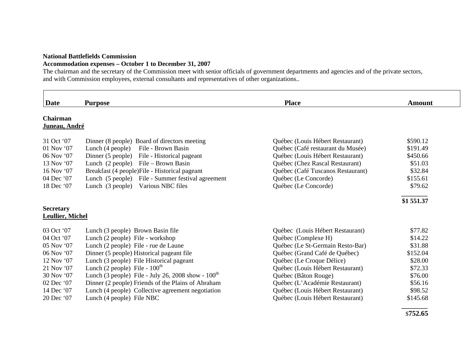#### **National Battlefields Commission**

### **Accommodation expenses – October 1 to December 31, 2007**

The chairman and the secretary of the Commission meet with senior officials of government departments and agencies and of the private sectors, and with Commission employees, external consultants and representatives of other organizations..

| <b>Date</b>                                 | <b>Purpose</b>                                          | <b>Place</b>                      | <b>Amount</b> |
|---------------------------------------------|---------------------------------------------------------|-----------------------------------|---------------|
| Chairman<br>Juneau, André                   |                                                         |                                   |               |
| 31 Oct '07                                  | Dinner (8 people) Board of directors meeting            | Québec (Louis Hébert Restaurant)  | \$590.12      |
| 01 Nov '07                                  | File - Brown Basin<br>Lunch (4 people)                  | Québec (Café restaurant du Musée) | \$191.49      |
| $06$ Nov $07$                               | Dinner (5 people)<br>File - Historical pageant          | Québec (Louis Hébert Restaurant)  | \$450.66      |
| 13 Nov '07                                  | File – Brown Basin<br>Lunch (2 people)                  | Québec (Chez Rascal Restaurant)   | \$51.03       |
| 16 Nov '07                                  | Breakfast (4 people)File - Historical pageant           | Québec (Café Tuscanos Restaurant) | \$32.84       |
| 04 Dec '07                                  | Lunch (5 people)<br>File - Summer festival agreement    | Québec (Le Concorde)              | \$155.61      |
| 18 Dec '07                                  | Various NBC files<br>Lunch (3 people)                   | Québec (Le Concorde)              | \$79.62       |
|                                             |                                                         |                                   | \$1 551.37    |
| <b>Secretary</b><br><b>Leullier, Michel</b> |                                                         |                                   |               |
| 03 Oct '07                                  | Lunch (3 people) Brown Basin file                       | Québec (Louis Hébert Restaurant)  | \$77.82       |
| 04 Oct '07                                  | Lunch (2 people) File - workshop                        | Québec (Complexe H)               | \$14.22       |
| 05 Nov '07                                  | Lunch (2 people) File - rue de Laune                    | Québec (Le St-Germain Resto-Bar)  | \$31.88       |
| 06 Nov '07                                  | Dinner (5 people) Historical pageant file               | Québec (Grand Café de Québec)     | \$152.04      |
| $12$ Nov $07$                               | Lunch (3 people) File Historical pageant                | Québec (Le Croque Délice)         | \$28.00       |
| 21 Nov '07                                  | Lunch (2 people) File - $100th$                         | Québec (Louis Hébert Restaurant)  | \$72.33       |
| 30 Nov '07                                  | Lunch (3 people) File - July 26, 2008 show - $100^{th}$ | Québec (Bâton Rouge)              | \$76.00       |
| 02 Dec '07                                  | Dinner (2 people) Friends of the Plains of Abraham      | Québec (L'Académie Restaurant)    | \$56.16       |
|                                             |                                                         |                                   | \$98.52       |
| 14 Dec '07                                  | Lunch (4 people) Collective agreement negotiation       | Québec (Louis Hébert Restaurant)  |               |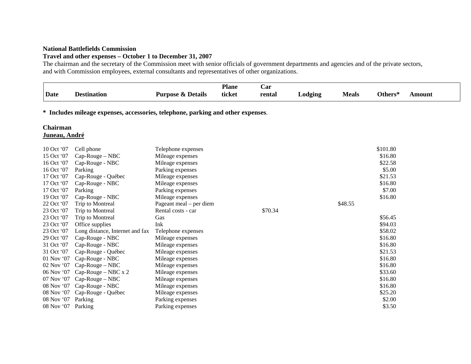#### **National Battlefields Commission**

### **Travel and other expenses – October 1 to December 31, 2007**

The chairman and the secretary of the Commission meet with senior officials of government departments and agencies and of the private sectors, and with Commission employees, external consultants and representatives of other organizations.

| Date | <b>Destination</b> | $\cdot$<br>: & Details<br>Purpose | <b>Plane</b><br>ticket | Uar<br>rental | odging_ | <b>Meals</b> | Others* | <b>\mount</b> |
|------|--------------------|-----------------------------------|------------------------|---------------|---------|--------------|---------|---------------|
|      |                    |                                   |                        |               |         |              |         |               |

**\* Includes mileage expenses, accessories, telephone, parking and other expenses**.

# **Chairman**

## **Juneau, André**

| 10 Oct '07 | Cell phone                      | Telephone expenses      |         | \$101.80 |
|------------|---------------------------------|-------------------------|---------|----------|
| 15 Oct '07 | Cap-Rouge - NBC                 | Mileage expenses        |         | \$16.80  |
| 16 Oct '07 | Cap-Rouge - NBC                 | Mileage expenses        |         | \$22.58  |
| 16 Oct '07 | Parking                         | Parking expenses        |         | \$5.00   |
| 17 Oct '07 | Cap-Rouge - Québec              | Mileage expenses        |         | \$21.53  |
| 17 Oct '07 | Cap-Rouge - NBC                 | Mileage expenses        |         | \$16.80  |
| 17 Oct '07 | Parking                         | Parking expenses        |         | \$7.00   |
| 19 Oct '07 | Cap-Rouge - NBC                 | Mileage expenses        |         | \$16.80  |
| 22 Oct '07 | Trip to Montreal                | Pageant meal – per diem |         | \$48.55  |
| 23 Oct '07 | Trip to Montreal                | Rental costs - car      | \$70.34 |          |
| 23 Oct '07 | Trip to Montreal                | Gas                     |         | \$56.45  |
| 23 Oct '07 | Office supplies                 | Ink                     |         | \$94.03  |
| 23 Oct '07 | Long distance, Internet and fax | Telephone expenses      |         | \$58.02  |
| 29 Oct '07 | Cap-Rouge - NBC                 | Mileage expenses        |         | \$16.80  |
| 31 Oct '07 | Cap-Rouge - NBC                 | Mileage expenses        |         | \$16.80  |
| 31 Oct '07 | Cap-Rouge - Québec              | Mileage expenses        |         | \$21.53  |
| 01 Nov '07 | Cap-Rouge - NBC                 | Mileage expenses        |         | \$16.80  |
| 02 Nov '07 | Cap-Rouge - NBC                 | Mileage expenses        |         | \$16.80  |
| 06 Nov '07 | Cap-Rouge - NBC x 2             | Mileage expenses        |         | \$33.60  |
| 07 Nov '07 | $Cap-Rouge-NBC$                 | Mileage expenses        |         | \$16.80  |
| 08 Nov '07 | Cap-Rouge - NBC                 | Mileage expenses        |         | \$16.80  |
| 08 Nov '07 | Cap-Rouge - Québec              | Mileage expenses        |         | \$25.20  |
| 08 Nov '07 | Parking                         | Parking expenses        |         | \$2.00   |
| 08 Nov '07 | Parking                         | Parking expenses        |         | \$3.50   |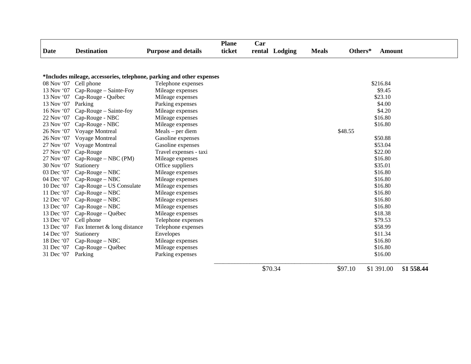|                       |                                                                       |                            | <b>Plane</b> | Car            |              |         |               |            |
|-----------------------|-----------------------------------------------------------------------|----------------------------|--------------|----------------|--------------|---------|---------------|------------|
| <b>Date</b>           | <b>Destination</b>                                                    | <b>Purpose and details</b> | ticket       | rental Lodging | <b>Meals</b> | Others* | <b>Amount</b> |            |
|                       |                                                                       |                            |              |                |              |         |               |            |
|                       | *Includes mileage, accessories, telephone, parking and other expenses |                            |              |                |              |         |               |            |
| 08 Nov '07 Cell phone |                                                                       | Telephone expenses         |              |                |              |         | \$216.84      |            |
|                       | 13 Nov '07 Cap-Rouge – Sainte-Foy                                     | Mileage expenses           |              |                |              |         | \$9.45        |            |
|                       | 13 Nov '07 Cap-Rouge - Québec                                         | Mileage expenses           |              |                |              |         | \$23.10       |            |
| 13 Nov '07 Parking    |                                                                       | Parking expenses           |              |                |              |         | \$4.00        |            |
| 16 Nov '07            | Cap-Rouge – Sainte-foy                                                | Mileage expenses           |              |                |              |         | \$4.20        |            |
|                       | 22 Nov '07 Cap-Rouge - NBC                                            | Mileage expenses           |              |                |              |         | \$16.80       |            |
|                       | 23 Nov '07 Cap-Rouge - NBC                                            | Mileage expenses           |              |                |              |         | \$16.80       |            |
| 26 Nov '07            | Voyage Montreal                                                       | $Meals$ – per diem         |              |                |              | \$48.55 |               |            |
| 26 Nov '07            | Voyage Montreal                                                       | Gasoline expenses          |              |                |              |         | \$50.88       |            |
| 27 Nov '07            | Voyage Montreal                                                       | Gasoline expenses          |              |                |              |         | \$53.04       |            |
| 27 Nov '07            | Cap-Rouge                                                             | Travel expenses - taxi     |              |                |              |         | \$22.00       |            |
| 27 Nov '07            | $Cap-Rouge-NBC(PM)$                                                   | Mileage expenses           |              |                |              |         | \$16.80       |            |
| 30 Nov '07            | Stationery                                                            | Office suppliers           |              |                |              |         | \$35.01       |            |
| 03 Dec '07            | Cap-Rouge - NBC                                                       | Mileage expenses           |              |                |              |         | \$16.80       |            |
| 04 Dec '07            | $Cap-Rouge-NBC$                                                       | Mileage expenses           |              |                |              |         | \$16.80       |            |
| 10 Dec '07            | Cap-Rouge – US Consulate                                              | Mileage expenses           |              |                |              |         | \$16.80       |            |
| 11 Dec '07            | Cap-Rouge - NBC                                                       | Mileage expenses           |              |                |              |         | \$16.80       |            |
| 12 Dec '07            | $Cap-Rouge-NBC$                                                       | Mileage expenses           |              |                |              |         | \$16.80       |            |
| 13 Dec '07            | $Cap-Rouge-NBC$                                                       | Mileage expenses           |              |                |              |         | \$16.80       |            |
| 13 Dec '07            | Cap-Rouge – Québec                                                    | Mileage expenses           |              |                |              |         | \$18.38       |            |
| 13 Dec '07            | Cell phone                                                            | Telephone expenses         |              |                |              |         | \$79.53       |            |
| 13 Dec '07            | Fax Internet & long distance                                          | Telephone expenses         |              |                |              |         | \$58.99       |            |
| 14 Dec '07            | Stationery                                                            | Envelopes                  |              |                |              |         | \$11.34       |            |
| 18 Dec '07            | $Cap-Rouge-NBC$                                                       | Mileage expenses           |              |                |              |         | \$16.80       |            |
| 31 Dec '07            | Cap-Rouge – Québec                                                    | Mileage expenses           |              |                |              |         | \$16.80       |            |
| 31 Dec '07            | Parking                                                               | Parking expenses           |              |                |              |         | \$16.00       |            |
|                       |                                                                       |                            |              | \$70.34        |              | \$97.10 | \$1 391.00    | \$1 558.44 |